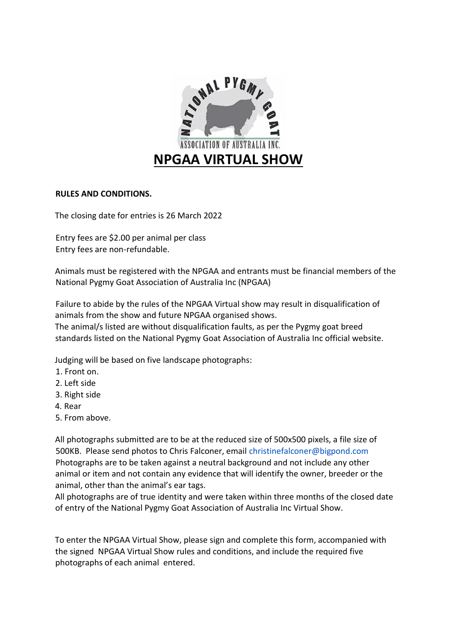

## **RULES AND CONDITIONS.**

The closing date for entries is 26 March 2022

Entry fees are \$2.00 per animal per class Entry fees are non-refundable.

Animals must be registered with the NPGAA and entrants must be financial members of the National Pygmy Goat Association of Australia Inc (NPGAA)

Failure to abide by the rules of the NPGAA Virtual show may result in disqualification of animals from the show and future NPGAA organised shows.

The animal/s listed are without disqualification faults, as per the Pygmy goat breed standards listed on the National Pygmy Goat Association of Australia Inc official website.

Judging will be based on five landscape photographs:

- 1. Front on.
- 2. Left side
- 3. Right side
- 4. Rear
- 5. From above.

All photographs submitted are to be at the reduced size of 500x500 pixels, a file size of 500KB. Please send photos to Chris Falconer, email christinefalconer@bigpond.com Photographs are to be taken against a neutral background and not include any other animal or item and not contain any evidence that will identify the owner, breeder or the animal, other than the animal's ear tags.

All photographs are of true identity and were taken within three months of the closed date of entry of the National Pygmy Goat Association of Australia Inc Virtual Show.

To enter the NPGAA Virtual Show, please sign and complete this form, accompanied with the signed NPGAA Virtual Show rules and conditions, and include the required five photographs of each animal entered.